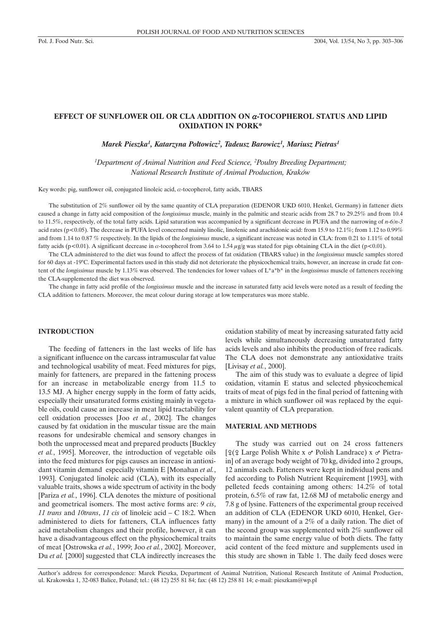# **EFFECT OF SUNFLOWER OIL OR CLA ADDITION ON** a**-TOCOPHEROL STATUS AND LIPID OXIDATION IN PORK\***

 $M$ arek Pieszka<sup>1</sup>, Katarzyna Połtowicz<sup>2</sup>, Tadeusz Barowicz<sup>1</sup>, Mariusz Pietras<sup>1</sup>

<sup>1</sup>Department of Animal Nutrition and Feed Science, <sup>2</sup>Poultry Breeding Department; *National Research Institute of Animal Production, Kraków*

Key words: pig, sunflower oil, conjugated linoleic acid,  $\alpha$ -tocopherol, fatty acids, TBARS

The substitution of 2% sunflower oil by the same quantity of CLA preparation (EDENOR UKD 6010, Henkel, Germany) in fattener diets caused a change in fatty acid composition of the *longissimus* muscle, mainly in the palmitic and stearic acids from 28.7 to 29.25% and from 10.4 to 11.5%, respectively, of the total fatty acids. Lipid saturation was accompanied by a significant decrease in PUFA and the narrowing of *n-6/n-3* acid rates (p<0.05). The decrease in PUFA level concerned mainly linolic, linolenic and arachidonic acid: from 15.9 to 12.1%; from 1.12 to 0.99% and from 1.14 to 0.87 % respectively. In the lipids of the *longissimus* muscle, a significant increase was noted in CLA: from 0.21 to 1.11% of total fatty acids (p<0.01). A significant decrease in  $\alpha$ -tocopherol from 3.64 to 1.54  $\mu$ g/g was stated for pigs obtaining CLA in the diet (p<0.01).

The CLA administered to the diet was found to affect the process of fat oxidation (TBARS value) in the *longissimus* muscle samples stored for 60 days at -19°C. Experimental factors used in this study did not deteriorate the physicochemical traits, however, an increase in crude fat content of the *longissimus* muscle by 1.13% was observed. The tendencies for lower values of L\*a\*b\* in the *longissimus* muscle of fatteners receiving the CLA-supplemented the diet was observed.

The change in fatty acid profile of the *longissimus* muscle and the increase in saturated fatty acid levels were noted as a result of feeding the CLA addition to fatteners. Moreover, the meat colour during storage at low temperatures was more stable.

### **INTRODUCTION**

The feeding of fatteners in the last weeks of life has a significant influence on the carcass intramuscular fat value and technological usability of meat. Feed mixtures for pigs, mainly for fatteners, are prepared in the fattening process for an increase in metabolizable energy from 11.5 to 13.5 MJ. A higher energy supply in the form of fatty acids, especially their unsaturated forms existing mainly in vegetable oils, could cause an increase in meat lipid tractability for cell oxidation processes [Joo *et al.*, 2002]. The changes caused by fat oxidation in the muscular tissue are the main reasons for undesirable chemical and sensory changes in both the unprocessed meat and prepared products [Buckley *et al.*, 1995]. Moreover, the introduction of vegetable oils into the feed mixtures for pigs causes an increase in antioxidant vitamin demand especially vitamin E [Monahan *et al.*, 1993]. Conjugated linoleic acid (CLA), with its especially valuable traits, shows a wide spectrum of activity in the body [Pariza *et al.*, 1996]. CLA denotes the mixture of positional and geometrical isomers. The most active forms are: *9 cis*, *11 trans* and *10trans*, *11 cis* of linoleic acid – C 18:2. When administered to diets for fatteners, CLA influences fatty acid metabolism changes and their profile, however, it can have a disadvantageous effect on the physicochemical traits of meat [Ostrowska *et al.*, 1999; Joo *et al.*, 2002]. Moreover, Du *et al.* [2000] suggested that CLA indirectly increases the oxidation stability of meat by increasing saturated fatty acid levels while simultaneously decreasing unsaturated fatty acids levels and also inhibits the production of free radicals. The CLA does not demonstrate any antioxidative traits [Livisay *et al.*, 2000].

The aim of this study was to evaluate a degree of lipid oxidation, vitamin E status and selected physicochemical traits of meat of pigs fed in the final period of fattening with a mixture in which sunflower oil was replaced by the equivalent quantity of CLA preparation.

## **MATERIAL AND METHODS**

The study was carried out on 24 cross fatteners  $\lceil \frac{\varphi(\varphi)}{\varphi} \rceil$  Large Polish White x  $\sigma$ <sup>r</sup> Polish Landrace) x  $\sigma$ <sup>r</sup> Pietrain] of an average body weight of 70 kg, divided into 2 groups, 12 animals each. Fatteners were kept in individual pens and fed according to Polish Nutrient Requirement [1993], with pelleted feeds containing among others: 14.2% of total protein, 6.5% of raw fat, 12.68 MJ of metabolic energy and 7.8 g of lysine. Fatteners of the experimental group received an addition of CLA (EDENOR UKD 6010, Henkel, Germany) in the amount of a 2% of a daily ration. The diet of the second group was supplemented with 2% sunflower oil to maintain the same energy value of both diets. The fatty acid content of the feed mixture and supplements used in this study are shown in Table 1. The daily feed doses were

Author's address for correspondence: Marek Pieszka, Department of Animal Nutrition, National Research Institute of Animal Production, ul. Krakowska 1, 32-083 Balice, Poland; tel.: (48 12) 255 81 84; fax: (48 12) 258 81 14; e-mail: pieszkam@wp.pl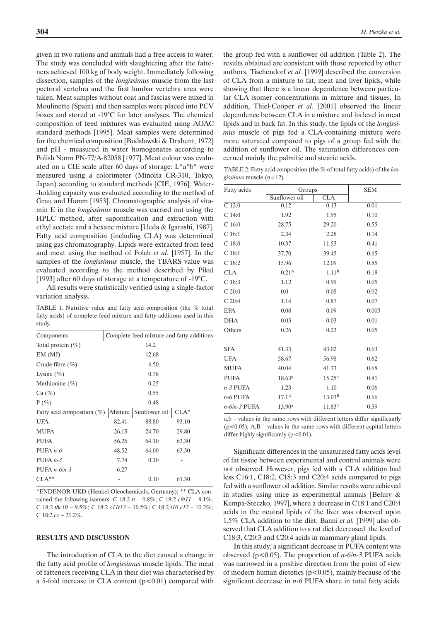given in two rations and animals had a free access to water. The study was concluded with slaughtering after the fatteners achieved 100 kg of body weight. Immediately following dissection, samples of the *longissimus* muscle from the last pectoral vertebra and the first lumbar vertebra area were taken. Meat samples without coat and fascias were mixed in Moulinette (Spain) and then samples were placed into PCV boxes and stored at -19°C for later analyses. The chemical composition of feed mixtures was evaluated using AOAC standard methods [1995]. Meat samples were determined for the chemical composition [Budsławski & Drabent, 1972] and pH - measured in water homogenates according to Polish Norm PN-77/A-82058 [1977]. Meat colour was evaluated on a CIE scale after 60 days of storage: L\*a\*b\* were measured using a colorimeter (Minolta CR-310, Tokyo, Japan) according to standard methods [CIE, 1976]. Water- -holding capacity was evaluated according to the method of Grau and Hamm [1953]. Chromatographic analysis of vitamin E in the *longissimus* muscle was carried out using the HPLC method, after saponification and extraction with ethyl acetate and a hexane mixture [Ueda & Igarashi, 1987]. Fatty acid composition (including CLA) was determined using gas chromatography. Lipids were extracted from feed and meat using the method of Folch *et al.* [1957]. In the samples of the *longissimus* muscle, the TBARS value was evaluated according to the method described by Pikul [1993] after 60 days of storage at a temperature of -19°C.

All results were statistically verified using a single-factor variation analysis.

TABLE 1. Nutritive value and fatty acid composition (the % total fatty acids) of complete feed mixture and fatty additions used in this study.

| Components                    | Complete feed mixture and fatty additions |               |        |  |  |
|-------------------------------|-------------------------------------------|---------------|--------|--|--|
| Total protein $(\%)$          | 14.2                                      |               |        |  |  |
| EM(MJ)                        | 12.68                                     |               |        |  |  |
| Crude fibre $(\% )$           | 6.50                                      |               |        |  |  |
| Lysine $(\% )$                | 0.78                                      |               |        |  |  |
| Methionine $(\%)$             | 0.25                                      |               |        |  |  |
| Ca (%)                        | 0.55                                      |               |        |  |  |
| $P(\%)$                       | 0.48                                      |               |        |  |  |
| Fatty acid composition $(\%)$ | Mixture                                   | Sunflower oil | $CLA*$ |  |  |
| <b>UFA</b>                    | 82.41                                     | 88.80         | 93.10  |  |  |
| <b>MUFA</b>                   | 26.15                                     | 24.70         | 29.80  |  |  |
| <b>PUFA</b>                   | 56.26                                     | 64.10         | 63.30  |  |  |
| PUFA $n-6$                    | 48.52                                     | 64.00         | 63.30  |  |  |
| PUFA $n-3$                    | 7.74                                      | 0.10          |        |  |  |
| PUFA $n-6/n-3$                | 6.27                                      |               |        |  |  |
| $CLA^{**}$                    |                                           | 0.10          | 61.30  |  |  |

\*ENDENOR UKD (Henkel Oleochemicals, Germany); \*\* CLA contained the following isomers: C 18:2  $tt - 0.8\%$ ; C 18:2  $c9t11 - 9.1\%$ ; C 18:2 *t8c10* – 9.5%; C 18:2 *c11t13* – 10.5%; C 18:2 *t10 c12* – 10.2%; C 18:2 *cc* – 21.2%.

#### **RESULTS AND DISCUSSION**

The introduction of CLA to the diet caused a change in the fatty acid profile of *longissimus* muscle lipids. The meat of fatteners receiving CLA in their diet was characterised by a 5-fold increase in CLA content  $(p<0.01)$  compared with

the group fed with a sunflower oil addition (Table 2). The results obtained are consistent with those reported by other authors. Tischendorf *et al.* [1999] described the conversion of CLA from a mixture to fat, meat and liver lipids, while showing that there is a linear dependence between particular CLA isomer concentrations in mixture and tissues. In addition, Thiel-Cooper *et al.* [2001] observed the linear dependence between CLA in a mixture and its level in meat lipids and in back fat. In this study, the lipids of the *longissimus* muscle of pigs fed a CLA-containing mixture were more saturated compared to pigs of a group fed with the addition of sunflower oil. The saturation differences concerned mainly the palmitic and stearic acids.

TABLE 2. Fatty acid composition (the % of total fatty acids) of the *longissimus* muscle (n=12).

| Fatty acids       | Groups            |                    | <b>SEM</b> |
|-------------------|-------------------|--------------------|------------|
|                   | Sunflower oil     | <b>CLA</b>         |            |
| C 12:0            | 0.12              | 0.13               | 0.01       |
| $C$ 14:0          | 1.92              | 1.95               | 0.10       |
| C <sub>16:0</sub> | 28.75             | 29.20              | 0.55       |
| C <sub>16:1</sub> | 2.34              | 2.28               | 0.14       |
| C <sub>18:0</sub> | 10.37             | 11.53              | 0.41       |
| C <sub>18:1</sub> | 37.70             | 39.45              | 0.65       |
| C <sub>18:2</sub> | 15.96             | 12.09              | 0.85       |
| <b>CLA</b>        | 0.21 <sup>A</sup> | 1.11 <sup>B</sup>  | 0.18       |
| C <sub>18:3</sub> | 1.12              | 0.99               | 0.05       |
| C 20:0            | 0.0               | 0.05               | 0.02       |
| C20:4             | 1.14              | 0.87               | 0.07       |
| <b>EPA</b>        | 0.08              | 0.09               | 0.003      |
| <b>DHA</b>        | 0.03              | 0.03               | 0.01       |
| Others            | 0.26              | 0.23               | 0.05       |
| <b>SFA</b>        | 41.33             | 43.02              | 0.63       |
| <b>UFA</b>        | 58.67             | 56.98              | 0.62       |
| <b>MUFA</b>       | 40.04             | 41.73              | 0.68       |
| <b>PUFA</b>       | $18.63^{\rm a}$   | $15.25^{b}$        | 0.81       |
| $n-3$ PUFA        | 1.23              | 1.10               | 0.06       |
| $n-6$ PUFA        | $17.1^{\text{A}}$ | 13.03 <sup>B</sup> | 0.66       |
| $n-6/n-3$ PUFA    | $13.90^{\rm a}$   | $11.83^{b}$        | 0.59       |

a,b – values in the same rows with different letters differ significantly  $(p<0.05)$ ; A,B – values in the same rows with different capital letters differ highly significantly  $(p<0.01)$ .

Significant differences in the unsaturated fatty acids level of fat tissue between experimental and control animals were not observed. However, pigs fed with a CLA addition had less C16:1, C18:2, C18:3 and C20:4 acids compared to pigs fed with a sunflower oil addition. Similar results were achieved in studies using mice as experimental animals [Belury & Kempa-Steczko, 1997], where a decrease in C18:1 and C20:4 acids in the neutral lipids of the liver was observed upon 1.5% CLA addition to the diet. Banni *et al.* [1999] also observed that CLA addition to a rat diet decreased the level of C18:3, C20:3 and C20:4 acids in mammary gland lipids.

In this study, a significant decrease in PUFA content was observed (p<0.05). The proportion of *n-6/n-3* PUFA acids was narrowed in a positive direction from the point of view of modern human dietetics ( $p < 0.05$ ), mainly because of the significant decrease in *n-6* PUFA share in total fatty acids.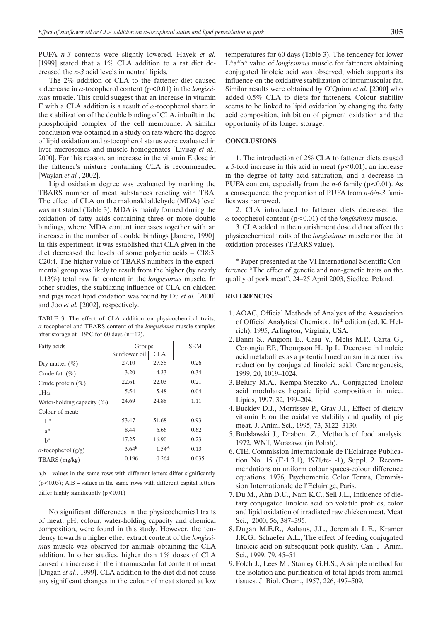PUFA *n-3* contents were slightly lowered. Hayek *et al.* [1999] stated that a 1% CLA addition to a rat diet decreased the *n-3* acid levels in neutral lipids.

The 2% addition of CLA to the fattener diet caused a decrease in  $\alpha$ -tocopherol content ( $p < 0.01$ ) in the *longissimus* muscle. This could suggest that an increase in vitamin E with a CLA addition is a result of  $\alpha$ -tocopherol share in the stabilization of the double binding of CLA, inbuilt in the phospholipid complex of the cell membrane. A similar conclusion was obtained in a study on rats where the degree of lipid oxidation and  $\alpha$ -tocopherol status were evaluated in liver microsomes and muscle homogenates [Livisay *et al.*, 2000]. For this reason, an increase in the vitamin E dose in the fattener's mixture containing CLA is recommended [Waylan *et al.*, 2002].

Lipid oxidation degree was evaluated by marking the TBARS number of meat substances reacting with TBA. The effect of CLA on the malonaldialdehyde (MDA) level was not stated (Table 3). MDA is mainly formed during the oxidation of fatty acids containing three or more double bindings, where MDA content increases together with an increase in the number of double bindings [Janero, 1990]. In this experiment, it was established that CLA given in the diet decreased the levels of some polyenic acids – C18:3, C20:4. The higher value of TBARS numbers in the experimental group was likely to result from the higher (by nearly 1.13%) total raw fat content in the *longissimus* muscle. In other studies, the stabilizing influence of CLA on chicken and pigs meat lipid oxidation was found by Du *et al.* [2000] and Joo *et al.* [2002], respectively.

TABLE 3. The effect of CLA addition on physicochemical traits, a-tocopherol and TBARS content of the *longissimus* muscle samples after storage at  $-19^{\circ}$ C for 60 days (n=12).

| Fatty acids                    | Groups         |            | <b>SEM</b> |
|--------------------------------|----------------|------------|------------|
|                                | Sunflower oil  | CLA.       |            |
| Dry matter $(\%)$              | 27.10          | 27.58      | 0.26       |
| Crude fat $(\% )$              | 3.20           | 4.33       | 0.34       |
| Crude protein $(\%)$           | 22.61          | 22.03      | 0.21       |
| $pH_{24}$                      | 5.54           | 5.48       | 0.04       |
| Water-holding capacity $(\% )$ | 24.69          | 24.88      | 1.11       |
| Colour of meat:                |                |            |            |
| $L^*$                          | 53.47          | 51.68      | 0.93       |
| $a^*$                          | 8.44           | 6.66       | 0.62       |
| h*                             | 17.25          | 16.90      | 0.23       |
| $\alpha$ -tocopherol (g/g)     | $3.64^{\rm B}$ | $1.54^{A}$ | 0.13       |
| TBARS (mg/kg)                  | 0.196          | 0.264      | 0.035      |

a,b – values in the same rows with different letters differ significantly  $(p<0.05)$ ; A,B – values in the same rows with different capital letters differ highly significantly  $(p<0.01)$ 

No significant differences in the physicochemical traits of meat: pH, colour, water-holding capacity and chemical composition, were found in this study. However, the tendency towards a higher ether extract content of the *longissimus* muscle was observed for animals obtaining the CLA addition. In other studies, higher than 1% doses of CLA caused an increase in the intramuscular fat content of meat [Dugan *et al.*, 1999]. CLA addition to the diet did not cause any significant changes in the colour of meat stored at low temperatures for 60 days (Table 3). The tendency for lower L\*a\*b\* value of *longissimus* muscle for fatteners obtaining conjugated linoleic acid was observed, which supports its influence on the oxidative stabilization of intramuscular fat. Similar results were obtained by O'Quinn *et al.* [2000] who added 0.5% CLA to diets for fatteners. Colour stability seems to be linked to lipid oxidation by changing the fatty acid composition, inhibition of pigment oxidation and the opportunity of its longer storage.

### **CONCLUSIONS**

1. The introduction of 2% CLA to fattener diets caused a 5-fold increase in this acid in meat  $(p<0.01)$ , an increase in the degree of fatty acid saturation, and a decrease in PUFA content, especially from the  $n-6$  family ( $p < 0.01$ ). As a consequence, the proportion of PUFA from *n-6/n-3* families was narrowed.

2. CLA introduced to fattener diets decreased the  $\alpha$ -tocopherol content ( $p$ <0.01) of the *longissimus* muscle.

3. CLA added in the nourishment dose did not affect the physicochemical traits of the *longissimus* muscle nor the fat oxidation processes (TBARS value).

\* Paper presented at the VI International Scientific Conference "The effect of genetic and non-genetic traits on the quality of pork meat", 24–25 April 2003, Siedlce, Poland.

#### **REFERENCES**

- 1. AOAC, Official Methods of Analysis of the Association of Official Analytical Chemists., 16<sup>th</sup> edition (ed. K. Helrich), 1995, Arlington, Virginia, USA.
- 2. Banni S., Angioni E., Casu V., Melis M.P., Carta G., Corongiu F.P., Thompson H., Ip I., Decrease in linoleic acid metabolites as a potential mechanism in cancer risk reduction by conjugated linoleic acid. Carcinogenesis, 1999, 20, 1019–1024.
- 3. Belury M.A., Kempa-Steczko A., Conjugated linoleic acid modulates hepatic lipid composition in mice. Lipids, 1997, 32, 199–204.
- 4. Buckley D.J., Morrissey P., Gray J.I., Effect of dietary vitamin E on the oxidative stability and quality of pig meat. J. Anim. Sci., 1995, 73, 3122–3130.
- 5. Budsławski J., Drabent Z., Methods of food analysis. 1972, WNT, Warszawa (in Polish).
- 6. CIE. Commission Internationale de l'Eclairage Publication No. 15 (E-1.3.1), 1971/tc-1-1), Suppl. 2. Recommendations on uniform colour spaces-colour difference equations. 1976, Psychometric Color Terms, Commission Internationale de l'Eclairage, Paris.
- 7. Du M., Ahn D.U., Nam K.C., Sell J.L., Influence of dietary conjugated linoleic acid on volatile profiles, color and lipid oxidation of irradiated raw chicken meat. Meat Sci., 2000, 56, 387–395.
- 8. Dugan M.E.R., Aahaus, J.L., Jeremiah L.E., Kramer J.K.G., Schaefer A.L., The effect of feeding conjugated linoleic acid on subsequent pork quality. Can. J. Anim. Sci., 1999, 79, 45–51.
- 9. Folch J., Lees M., Stanley G.H.S., A simple method for the isolation and purification of total lipids from animal tissues. J. Biol. Chem., 1957, 226, 497–509.